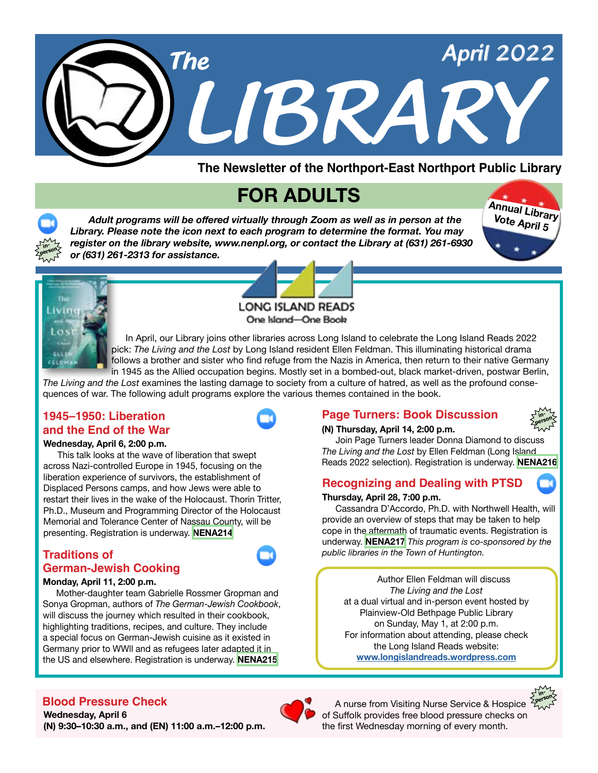

**The Newsletter of the Northport-East Northport Public Library**

# **FOR ADULTS**

 *Adult programs will be offered virtually through Zoom as well as in person at the Library. Please note the icon next to each program to determine the format. You may register on the library website, www.nenpl.org, or contact the Library at (631) 261-6930 or (631) 261-2313 for assistance.* 





**inperson**

**LONG ISLAND READS** 

One Island-One Book

 In April, our Library joins other libraries across Long Island to celebrate the Long Island Reads 2022 pick: *The Living and the Lost* by Long Island resident Ellen Feldman. This illuminating historical drama follows a brother and sister who find refuge from the Nazis in America, then return to their native Germany in 1945 as the Allied occupation begins. Mostly set in a bombed-out, black market-driven, postwar Berlin,

*The Living and the Lost* examines the lasting damage to society from a culture of hatred, as well as the profound consequences of war. The following adult programs explore the various themes contained in the book.

### **1945–1950: Liberation and the End of the War**

#### **Wednesday, April 6, 2:00 p.m.**

 This talk looks at the wave of liberation that swept across Nazi-controlled Europe in 1945, focusing on the liberation experience of survivors, the establishment of Displaced Persons camps, and how Jews were able to restart their lives in the wake of the Holocaust. Thorin Tritter, Ph.D., Museum and Programming Director of the Holocaust Memorial and Tolerance Center of Nassau County, will be presenting. Registration is underway. **[NENA214](https://www.nenpl.org/event/1945-1950-liberation-and-end-war-zoom)**

#### **Traditions of German-Jewish Cooking**

#### **Monday, April 11, 2:00 p.m.**

 Mother-daughter team Gabrielle Rossmer Gropman and Sonya Gropman, authors of *The German-Jewish Cookbook*, will discuss the journey which resulted in their cookbook, highlighting traditions, recipes, and culture. They include a special focus on German-Jewish cuisine as it existed in Germany prior to WWll and as refugees later adapted it in the US and elsewhere. Registration is underway. **[NENA215](https://www.nenpl.org/event/traditions-german-jewish-cooking-zoom)**

### **Page Turners: Book Discussion**



#### **(N) Thursday, April 14, 2:00 p.m.**

 Join Page Turners leader Donna Diamond to discuss *The Living and the Lost* by Ellen Feldman (Long Island Reads 2022 selection). Registration is underway. **[NENA216](https://www.nenpl.org/event/page-turners-book-discussion-person)**

#### **Recognizing and Dealing with PTSD**

#### **Thursday, April 28, 7:00 p.m.**

 Cassandra D'Accordo, Ph.D. with Northwell Health, will provide an overview of steps that may be taken to help cope in the aftermath of traumatic events. Registration is underway. **[NENA217](https://www.nenpl.org/event/recognizing-and-dealing-ptsd-zoom)** *This program is co-sponsored by the public libraries in the Town of Huntington.* 

Author Ellen Feldman will discuss *The Living and the Lost* at a dual virtual and in-person event hosted by Plainview-Old Bethpage Public Library on Sunday, May 1, at 2:00 p.m. For information about attending, please check the Long Island Reads website: **[www.longislandreads.wordpress.com](https://longislandreads.wordpress.com/)**



### **Blood Pressure Check**

**Wednesday, April 6 (N) 9:30–10:30 a.m., and (EN) 11:00 a.m.–12:00 p.m.**



A nurse from Visiting Nurse Service & Hospice <sup>2</sup> of Suffolk provides free blood pressure checks on the first Wednesday morning of every month.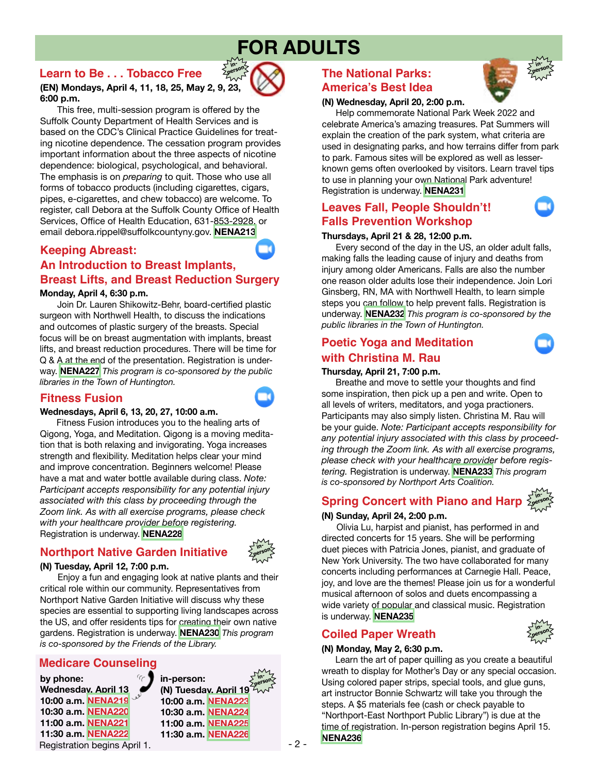# **FOR ADULTS**

**inperson**

### **Learn to Be . . . Tobacco Free**



 This free, multi-session program is offered by the Suffolk County Department of Health Services and is based on the CDC's Clinical Practice Guidelines for treating nicotine dependence. The cessation program provides important information about the three aspects of nicotine dependence: biological, psychological, and behavioral. The emphasis is on *preparing* to quit. Those who use all forms of tobacco products (including cigarettes, cigars, pipes, e-cigarettes, and chew tobacco) are welcome. To register, call Debora at the Suffolk County Office of Health Services, Office of Health Education, 631-853-2928, or email debora.rippel@suffolkcountyny.gov. **[NENA213](https://www.nenpl.org/event/learn-betobacco-free-person-east-northport)**

## **Keeping Abreast:**

# **An Introduction to Breast Implants, Breast Lifts, and Breast Reduction Surgery**

**Monday, April 4, 6:30 p.m.**

 Join Dr. Lauren Shikowitz-Behr, board-certified plastic surgeon with Northwell Health, to discuss the indications and outcomes of plastic surgery of the breasts. Special focus will be on breast augmentation with implants, breast lifts, and breast reduction procedures. There will be time for Q & A at the end of the presentation. Registration is underway. **[NENA227](https://www.nenpl.org/event/keeping-abreast-introduction-breast-implants-breast-lifts-and-reduction-surgery-zoom)** *This program is co-sponsored by the public libraries in the Town of Huntington.*

#### **Fitness Fusion**

#### **Wednesdays, April 6, 13, 20, 27, 10:00 a.m.**

 Fitness Fusion introduces you to the healing arts of Qigong, Yoga, and Meditation. Qigong is a moving meditation that is both relaxing and invigorating. Yoga increases strength and flexibility. Meditation helps clear your mind and improve concentration. Beginners welcome! Please have a mat and water bottle available during class. *Note: Participant accepts responsibility for any potential injury associated with this class by proceeding through the Zoom link. As with all exercise programs, please check with your healthcare provider before registering.* Registration is underway. **[NENA228](https://www.nenpl.org/event/fitness-fusion-zoom-2)**

# **Northport Native Garden Initiative**



#### **(N) Tuesday, April 12, 7:00 p.m.**

 Enjoy a fun and engaging look at native plants and their critical role within our community. Representatives from Northport Native Garden Initiative will discuss why these species are essential to supporting living landscapes across the US, and offer residents tips for creating their own native gardens. Registration is underway. **[NENA230](https://www.nenpl.org/event/northport-native-garden-initiative-person)** *This program is co-sponsored by the Friends of the Library.*

#### **Medicare Counseling**

Registration begins April 1. **by phone: Wednesday, April 13 10:00 a.m. [NENA219](https://www.nenpl.org/event/medicare-counseling-phone-5) 10:30 a.m. [NENA220](https://www.nenpl.org/event/medicare-counseling-phone-3) 11:00 a.m. [NENA221](https://www.nenpl.org/event/medicare-counseling-phone-4) 11:30 a.m. [NENA222](https://www.nenpl.org/event/medicare-counseling-phone-2)**

**in-person: (N) Tuesday, April 19 10:00 a.m. [NENA223](https://www.nenpl.org/event/medicare-counseling-person) 10:30 a.m. [NENA224](https://www.nenpl.org/event/medicare-counseling-person-0) 11:00 a.m. [NENA225](https://www.nenpl.org/event/medicare-counseling-person-1) 11:30 a.m. [NENA226](https://www.nenpl.org/event/medicare-counseling-person-2) inperson**

# **The National Parks: America's Best Idea**



 Help commemorate National Park Week 2022 and celebrate America's amazing treasures. Pat Summers will explain the creation of the park system, what criteria are used in designating parks, and how terrains differ from park to park. Famous sites will be explored as well as lesserknown gems often overlooked by visitors. Learn travel tips to use in planning your own National Park adventure! Registration is underway. **[NENA231](https://www.nenpl.org/event/national-parks-americas-best-idea-person-northport)**

# **Leaves Fall, People Shouldn't! Falls Prevention Workshop**

**inperson**

#### **Thursdays, April 21 & 28, 12:00 p.m.**

 Every second of the day in the US, an older adult falls, making falls the leading cause of injury and deaths from injury among older Americans. Falls are also the number one reason older adults lose their independence. Join Lori Ginsberg, RN, MA with Northwell Health, to learn simple steps you can follow to help prevent falls. Registration is underway. **[NENA232](https://www.nenpl.org/event/leaves-fall-people-shouldnt-falls-prevention-workshop-zoom-0)** *This program is co-sponsored by the public libraries in the Town of Huntington.*

## **Poetic Yoga and Meditation with Christina M. Rau**

#### **Thursday, April 21, 7:00 p.m.**

 Breathe and move to settle your thoughts and find some inspiration, then pick up a pen and write. Open to all levels of writers, meditators, and yoga practioners. Participants may also simply listen. Christina M. Rau will be your guide. *Note: Participant accepts responsibility for any potential injury associated with this class by proceeding through the Zoom link. As with all exercise programs, please check with your healthcare provider before registering.* Registration is underway. **[NENA233](https://www.nenpl.org/event/poetic-yoga-and-meditation-christina-m-rau-zoom)** *This program is co-sponsored by Northport Arts Coalition.*

**Spring Concert with Piano and Harab** 

#### **(N) Sunday, April 24, 2:00 p.m.**

 Olivia Lu, harpist and pianist, has performed in and directed concerts for 15 years. She will be performing duet pieces with Patricia Jones, pianist, and graduate of New York University. The two have collaborated for many concerts including performances at Carnegie Hall. Peace, joy, and love are the themes! Please join us for a wonderful musical afternoon of solos and duets encompassing a wide variety of popular and classical music. Registration is underway. **[NENA235](https://www.nenpl.org/event/spring-concert-piano-and-harp-person-northport)**

### **Coiled Paper Wreath**

#### **(N) Monday, May 2, 6:30 p.m.**

 Learn the art of paper quilling as you create a beautiful wreath to display for Mother's Day or any special occasion. Using colored paper strips, special tools, and glue guns, art instructor Bonnie Schwartz will take you through the steps. A \$5 materials fee (cash or check payable to "Northport-East Northport Public Library") is due at the time of registration. In-person registration begins April 15. **[NENA236](https://www.nenpl.org/event/coiled-paper-wreath-person-northport)**



**in-**





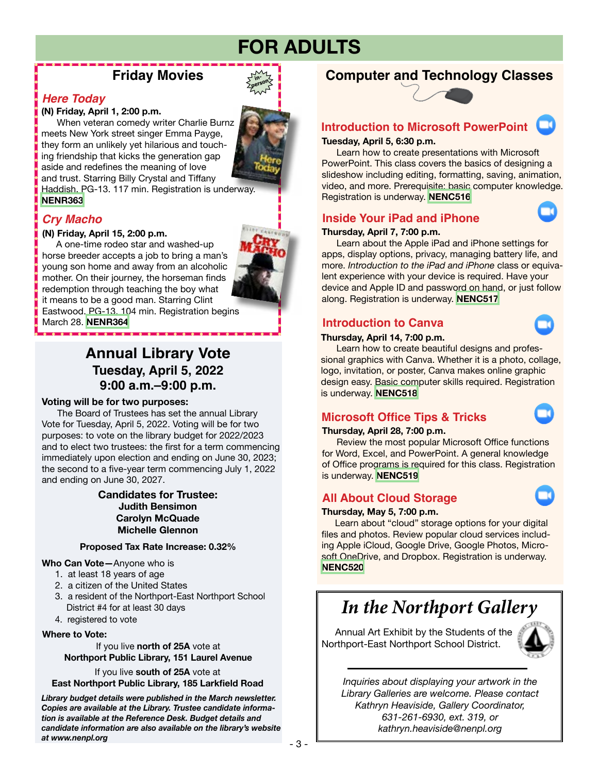# **FOR ADULTS**

**inperson**

# **Friday Movies**

#### *Here Today*

#### **(N) Friday, April 1, 2:00 p.m.**

 When veteran comedy writer Charlie Burnz meets New York street singer Emma Payge, they form an unlikely yet hilarious and touching friendship that kicks the generation gap aside and redefines the meaning of love and trust. Starring Billy Crystal and Tiffany Haddish. PG-13. 117 min. Registration is underway. **[NENR363](https://www.nenpl.org/event/fridays-movies-here-today-person)**

## *Cry Macho*

#### **(N) Friday, April 15, 2:00 p.m.**

 A one-time rodeo star and washed-up horse breeder accepts a job to bring a man's young son home and away from an alcoholic mother. On their journey, the horseman finds redemption through teaching the boy what it means to be a good man. Starring Clint

Eastwood. PG-13. 104 min. Registration begins March 28. **[NENR364](https://www.nenpl.org/event/fridays-movies-here-today-person)**

# **Annual Library Vote Tuesday, April 5, 2022 9:00 a.m.–9:00 p.m.**

#### **Voting will be for two purposes:**

 The Board of Trustees has set the annual Library Vote for Tuesday, April 5, 2022. Voting will be for two purposes: to vote on the library budget for 2022/2023 and to elect two trustees: the first for a term commencing immediately upon election and ending on June 30, 2023; the second to a five-year term commencing July 1, 2022 and ending on June 30, 2027.

#### **Candidates for Trustee: Judith Bensimon Carolyn McQuade Michelle Glennon**

#### **Proposed Tax Rate Increase: 0.32%**

#### **Who Can Vote—**Anyone who is

- 1. at least 18 years of age
- 2. a citizen of the United States
- 3. a resident of the Northport-East Northport School District #4 for at least 30 days
- 4. registered to vote

#### **Where to Vote:**

If you live **north of 25A** vote at **Northport Public Library, 151 Laurel Avenue**

If you live **south of 25A** vote at **East Northport Public Library, 185 Larkfield Road**

*Library budget details were published in the March newsletter. Copies are available at the Library. Trustee candidate information is available at the Reference Desk. Budget details and candidate information are also available on the library's website at www.nenpl.org*

# **Computer and Technology Classes**



#### **Introduction to Microsoft PowerPoint**

#### **Tuesday, April 5, 6:30 p.m.**

 Learn how to create presentations with Microsoft PowerPoint. This class covers the basics of designing a slideshow including editing, formatting, saving, animation, video, and more. Prerequisite: basic computer knowledge. Registration is underway. **[NENC516](https://www.nenpl.org/events/introduction-microsoft-powerpoint-zoom)**

#### **Inside Your iPad and iPhone**

#### **Thursday, April 7, 7:00 p.m.**

 Learn about the Apple iPad and iPhone settings for apps, display options, privacy, managing battery life, and more. *Introduction to the iPad and iPhone* class or equivalent experience with your device is required. Have your device and Apple ID and password on hand, or just follow along. Registration is underway. **[NENC517](https://www.nenpl.org/event/inside-your-ipad-and-iphone-zoom)**

#### **Introduction to Canva**

#### **Thursday, April 14, 7:00 p.m.**

 Learn how to create beautiful designs and professional graphics with Canva. Whether it is a photo, collage, logo, invitation, or poster, Canva makes online graphic design easy. Basic computer skills required. Registration is underway. **[NENC518](https://www.nenpl.org/events/introduction-canva-zoom)**

# **Microsoft Office Tips & Tricks**

#### **Thursday, April 28, 7:00 p.m.**

 Review the most popular Microsoft Office functions for Word, Excel, and PowerPoint. A general knowledge of Office programs is required for this class. Registration is underway. **[NENC519](https://www.nenpl.org/event/microsoft-office-tips-tricks-zoom)**

### **All About Cloud Storage**

#### **Thursday, May 5, 7:00 p.m.**

 Learn about "cloud" storage options for your digital files and photos. Review popular cloud services including Apple iCloud, Google Drive, Google Photos, Microsoft OneDrive, and Dropbox. Registration is underway. **[NENC520](https://www.nenpl.org/events/all-about-cloud-storage-zoom-0)**

# *In the Northport Gallery*

Annual Art Exhibit by the Students of the Northport-East Northport School District.



*Inquiries about displaying your artwork in the Library Galleries are welcome. Please contact Kathryn Heaviside, Gallery Coordinator, 631-261-6930, ext. 319, or kathryn.heaviside@nenpl.org*



- 3 -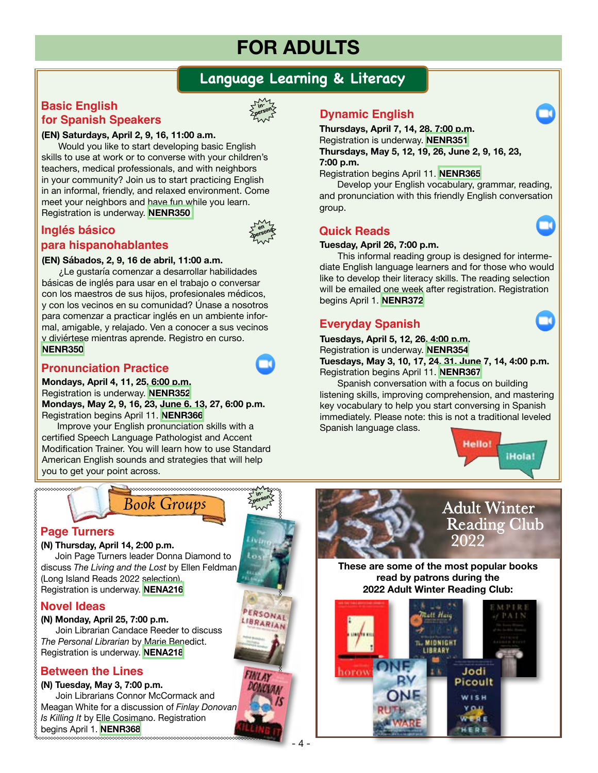# **FOR ADULTS**

# **Language Learning & Literacy**

## **Basic English for Spanish Speakers**



**en** persona

**inperson**

PERSONAL

LIBRARIAN

#### **(EN) Saturdays, April 2, 9, 16, 11:00 a.m.**

 Would you like to start developing basic English skills to use at work or to converse with your children's teachers, medical professionals, and with neighbors in your community? Join us to start practicing English in an informal, friendly, and relaxed environment. Come meet your neighbors and have fun while you learn. Registration is underway. **[NENR350](https://www.nenpl.org/events/ingles-basico-para-hispanohablantes-en-persona-basic-english-spanish-speakers-person-6)**

# **Inglés básico para hispanohablantes**



 ¿Le gustaría comenzar a desarrollar habilidades básicas de inglés para usar en el trabajo o conversar con los maestros de sus hijos, profesionales médicos, y con los vecinos en su comunidad? Únase a nosotros para comenzar a practicar inglés en un ambiente informal, amigable, y relajado. Ven a conocer a sus vecinos y diviértese mientras aprende. Registro en curso. **[NENR350](https://www.nenpl.org/events/ingles-basico-para-hispanohablantes-en-persona-basic-english-spanish-speakers-person-6)**

## **Pronunciation Practice**

**Mondays, April 4, 11, 25, 6:00 p.m.** Registration is underway. **[NENR352](https://www.nenpl.org/event/pronunciation-practice-zoom-3) Mondays, May 2, 9, 16, 23, June 6, 13, 27, 6:00 p.m.** Registration begins April 11. **[NENR366](https://www.nenpl.org/event/pronunciation-practice-zoom-12)** 

Improve your English pronunciation skills with a certified Speech Language Pathologist and Accent Modification Trainer. You will learn how to use Standard American English sounds and strategies that will help you to get your point across.

# **Dynamic English**

**Thursdays, April 7, 14, 28, 7:00 p.m.** Registration is underway. **[NENR351](https://www.nenpl.org/event/dynamic-english-zoom-3) Thursdays, May 5, 12, 19, 26, June 2, 9, 16, 23, 7:00 p.m.**

Registration begins April 11. **[NENR365](https://www.nenpl.org/event/dynamic-english-zoom-13)** 

Develop your English vocabulary, grammar, reading, and pronunciation with this friendly English conversation group.

### **Quick Reads**

#### **Tuesday, April 26, 7:00 p.m.**

This informal reading group is designed for intermediate English language learners and for those who would like to develop their literacy skills. The reading selection will be emailed one week after registration. Registration begins April 1. **[NENR372](https://www.nenpl.org/event/quick-reads-zoom)**

## **Everyday Spanish**

**Tuesdays, April 5, 12, 26, 4:00 p.m.** Registration is underway. **[NENR354](https://www.nenpl.org/event/everyday-spanish-zoom-4) Tuesdays, May 3, 10, 17, 24, 31, June 7, 14, 4:00 p.m.** Registration begins April 11. **[NENR367](https://www.nenpl.org/event/everyday-spanish-zoom-13)** 

Spanish conversation with a focus on building listening skills, improving comprehension, and mastering key vocabulary to help you start conversing in Spanish immediately. Please note: this is not a traditional leveled Spanish language class.



 $\Box$ 

# *Book Groups*

#### **Page Turners**

#### **(N) Thursday, April 14, 2:00 p.m.**

 Join Page Turners leader Donna Diamond to discuss *The Living and the Lost* by Ellen Feldman (Long Island Reads 2022 selection). Registration is underway. **[NENA216](https://www.nenpl.org/event/page-turners-book-discussion-person)**

### **Novel Ideas**

#### **(N) Monday, April 25, 7:00 p.m.**

Join Librarian Candace Reeder to discuss *The Personal Librarian* by Marie Benedict. Registration is underway. **[NENA218](https://www.nenpl.org/event/novel-ideas-person-northport)**

# **Between the Lines**

#### **(N) Tuesday, May 3, 7:00 p.m.**

Join Librarians Connor McCormack and Meagan White for a discussion of *Finlay Donovan Is Killing It* by Elle Cosimano. Registration begins April 1. **[NENR368](https://www.nenpl.org/event/between-lines-person)**





**These are some of the most popular books read by patrons during the 2022 Adult Winter Reading Club:**

**Realt Haig** 

**T. MIDNIGHT** LIBRARY

1 K

Jodi

Picoult WISH

ONE

socios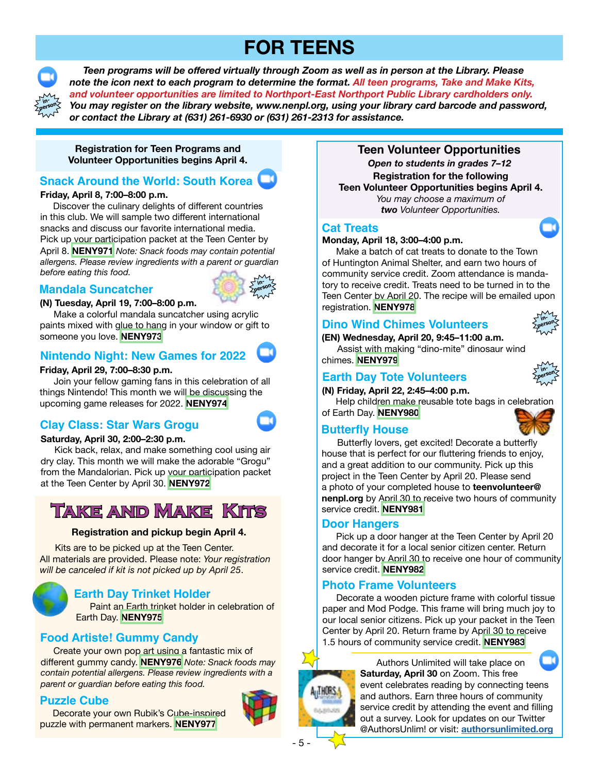# **FOR TEENS**



 *Teen programs will be offered virtually through Zoom as well as in person at the Library. Please note the icon next to each program to determine the format. All teen programs, Take and Make Kits, and volunteer opportunities are limited to Northport-East Northport Public Library cardholders only. You may register on the library website, www.nenpl.org, using your library card barcode and password, or contact the Library at (631) 261-6930 or (631) 261-2313 for assistance.*

**Registration for Teen Programs and Volunteer Opportunities begins April 4.**

# **Snack Around the World: South Korea**

#### **Friday, April 8, 7:00–8:00 p.m.**

Discover the culinary delights of different countries in this club. We will sample two different international snacks and discuss our favorite international media. Pick up your participation packet at the Teen Center by April 8. **[NENY971](https://www.nenpl.org/event/snack-around-world-south-korea-zoom)** *Note: Snack foods may contain potential allergens. Please review ingredients with a parent or guardian before eating this food.*

#### **Mandala Suncatcher**



#### **(N) Tuesday, April 19, 7:00–8:00 p.m.**

 Make a colorful mandala suncatcher using acrylic paints mixed with glue to hang in your window or gift to someone you love. **[NENY973](https://www.nenpl.org/event/mandala-suncatcher-person)**

## **Nintendo Night: New Games for 2022**

#### **Friday, April 29, 7:00–8:30 p.m.**

 Join your fellow gaming fans in this celebration of all things Nintendo! This month we will be discussing the upcoming game releases for 2022. **[NENY974](https://www.nenpl.org/event/nintendo-night-new-games-2022-zoom)**

### **Clay Class: Star Wars Grogu**



#### **Saturday, April 30, 2:00–2:30 p.m.**

 Kick back, relax, and make something cool using air dry clay. This month we will make the adorable "Grogu" from the Mandalorian. Pick up your participation packet at the Teen Center by April 30. **[NENY972](https://www.nenpl.org/event/clay-class-star-wars-grogu-zoom)**

# **Take and Make Kits**

#### **Registration and pickup begin April 4.**

 Kits are to be picked up at the Teen Center. All materials are provided. Please note: *Your registration will be canceled if kit is not picked up by April 25*.



### **Earth Day Trinket Holder**

 Paint an Earth trinket holder in celebration of Earth Day. **[NENY975](https://www.nenpl.org/event/earth-day-trinket-holder-take-and-make)**

# **Food Artiste! Gummy Candy**

 Create your own pop art using a fantastic mix of different gummy candy. **[NENY976](https://www.nenpl.org/event/food-artiste-gummy-candy-take-and-make)** *Note: Snack foods may contain potential allergens. Please review ingredients with a parent or guardian before eating this food.*

### **Puzzle Cube**

 Decorate your own Rubik's Cube-inspired puzzle with permanent markers. **[NENY977](https://www.nenpl.org/event/puzzle-cube-take-and-make)**



**Teen Volunteer Opportunities Registration for the following Teen Volunteer Opportunities begins April 4.** *You may choose a maximum of two Volunteer Opportunities. Open to students in grades 7–12*

#### **Cat Treats**

#### **Monday, April 18, 3:00–4:00 p.m.**

 Make a batch of cat treats to donate to the Town of Huntington Animal Shelter, and earn two hours of community service credit. Zoom attendance is mandatory to receive credit. Treats need to be turned in to the Teen Center by April 20. The recipe will be emailed upon registration. **[NENY978](https://www.nenpl.org/event/cat-treats-zoom)**

## **Dino Wind Chimes Volunteers**

**(EN) Wednesday, April 20, 9:45–11:00 a.m.** Assist with making "dino-mite" dinosaur wind chimes. **[NENY979](https://www.nenpl.org/event/dino-wind-chimes-volunteers-person)**

## **Earth Day Tote Volunteers**

**(N) Friday, April 22, 2:45–4:00 p.m.**

 Help children make reusable tote bags in celebration of Earth Day. **[NENY980](https://www.nenpl.org/event/earth-day-tote-volunteers-person)**

### **Butterfly House**



**inperson**

**in-**

Butterfly lovers, get excited! Decorate a butterfly house that is perfect for our fluttering friends to enjoy, and a great addition to our community. Pick up this project in the Teen Center by April 20. Please send a photo of your completed house to **teenvolunteer@ nenpl.org** by April 30 to receive two hours of community service credit. **[NENY981](https://www.nenpl.org/event/butterfly-house)**

#### **Door Hangers**

Pick up a door hanger at the Teen Center by April 20 and decorate it for a local senior citizen center. Return door hanger by April 30 to receive one hour of community service credit. **[NENY982](https://www.nenpl.org/event/door-hangers)**

### **Photo Frame Volunteers**

Decorate a wooden picture frame with colorful tissue paper and Mod Podge. This frame will bring much joy to our local senior citizens. Pick up your packet in the Teen Center by April 20. Return frame by April 30 to receive 1.5 hours of community service credit. **[NENY983](https://www.nenpl.org/event/photo-frame-volunteers)**



 Authors Unlimited will take place on **Saturday, April 30** on Zoom. This free event celebrates reading by connecting teens and authors. Earn three hours of community service credit by attending the event and filling out a survey. Look for updates on our Twitter @AuthorsUnlim! or visit: **[authorsunlimited.org](http://authorsunlimited.org/)**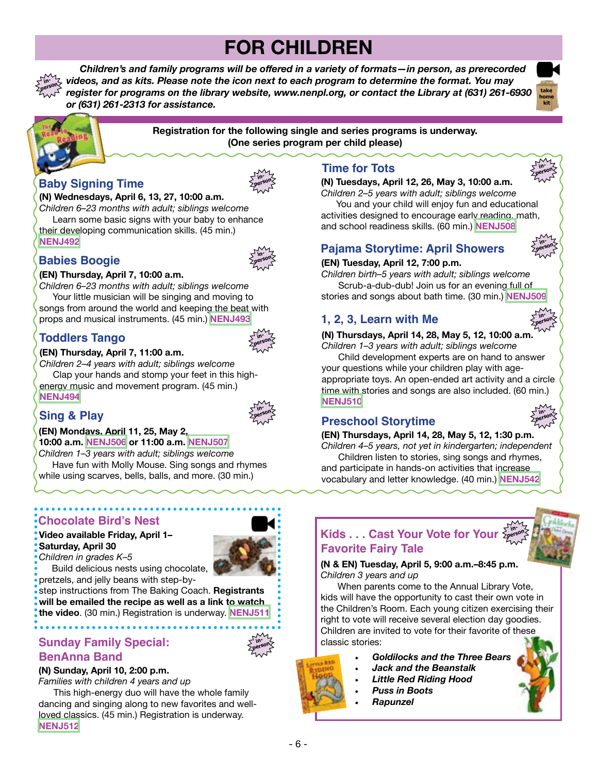# **FOR CHILDREN**

**Registration for the following single and series programs is underway. (One series program per child please)**

 *Children's and family programs will be offered in a variety of formats—in person, as prerecorded videos, and as kits. Please note the icon next to each program to determine the format. You may register for programs on the library website, www.nenpl.org, or contact the Library at (631) 261-6930 or (631) 261-2313 for assistance.* **inperson**





#### **Baby Signing Time (N) Wednesdays, April 6, 13, 27, 10:00 a.m.**

*Children 6–23 months with adult; siblings welcome*

 Learn some basic signs with your baby to enhance their developing communication skills. (45 min.)

# **Babies Boogie**



*Children 6–23 months with adult; siblings welcome* Your little musician will be singing and moving to songs from around the world and keeping the beat with props and musical instruments. (45 min.) **[NENJ493](https://www.nenpl.org/events/babies-boogie-person-0)**

# **Toddlers Tango**



**inperson**

**inperson**

**inperson**

#### **(EN) Thursday, April 7, 11:00 a.m.**

*Children 2–4 years with adult; siblings welcome* Clap your hands and stomp your feet in this highenergy music and movement program. (45 min.) **[NENJ494](https://www.nenpl.org/events/toddlers-tango-person-0)**

# **Sing & Play**

**(EN) Mondays, April 11, 25, May 2, 10:00 a.m. [NENJ506](https://www.nenpl.org/events/sing-play-person-25) or 11:00 a.m. [NENJ507](https://www.nenpl.org/events/sing-play-person-28)** *Children 1–3 years with adult; siblings welcome*

 Have fun with Molly Mouse. Sing songs and rhymes while using scarves, bells, balls, and more. (30 min.)

# **Chocolate Bird's Nest**

**Video available Friday, April 1– Saturday, April 30**



 Build delicious nests using chocolate, pretzels, and jelly beans with step-by-

step instructions from The Baking Coach. **Registrants will be emailed the recipe as well as a link to watch the video**. (30 min.) Registration is underway. **[NENJ511](https://www.nenpl.org/events/chocolate-birds-nest-pre-recorded-video)**

# **Sunday Family Special:**

# **BenAnna Band**

**(N) Sunday, April 10, 2:00 p.m.**

*Families with children 4 years and up*

 This high-energy duo will have the whole family dancing and singing along to new favorites and wellloved classics. (45 min.) Registration is underway. **[NENJ512](https://www.nenpl.org/event/sunday-family-special-benanna-band-person)**

# **Time for Tots**

**(N) Tuesdays, April 12, 26, May 3, 10:00 a.m.** 

*Children 2–5 years with adult; siblings welcome* You and your child will enjoy fun and educational activities designed to encourage early reading, math, and school readiness skills. (60 min.) **[NENJ508](https://www.nenpl.org/event/time-tots-person-2)**

# **[NENJ492](https://www.nenpl.org/event/baby-signing-time-person) Pajama Storytime: April Showers**



**inperson**

**take home kit**

#### **(EN) Tuesday, April 12, 7:00 p.m.**

*Children birth–5 years with adult; siblings welcome* Scrub-a-dub-dub! Join us for an evening full of stories and songs about bath time. (30 min.) **[NENJ509](https://www.nenpl.org/event/pj-storytime-person-0)**

# **1, 2, 3, Learn with Me**

**(N) Thursdays, April 14, 28, May 5, 12, 10:00 a.m.**  *Children 1–3 years with adult; siblings welcome*

 Child development experts are on hand to answer your questions while your children play with ageappropriate toys. An open-ended art activity and a circle time with stories and songs are also included. (60 min.) **[NENJ510](https://www.nenpl.org/event/1-2-3-learn-me-person-3)**

# **Preschool Storytime**

**(EN) Thursdays, April 14, 28, May 5, 12, 1:30 p.m.** 

*Children 4–5 years, not yet in kindergarten; independent* Children listen to stories, sing songs and rhymes,

and participate in hands-on activities that increase vocabulary and letter knowledge. (40 min.) **[NENJ542](https://www.nenpl.org/event/preschool-storytime-person-3)**



#### **Kids . . . Cast Your Vote for Your Favorite Fairy Tale inperson**

**(N & EN) Tuesday, April 5, 9:00 a.m.–8:45 p.m.** *Children 3 years and up* 

 When parents come to the Annual Library Vote, kids will have the opportunity to cast their own vote in the Children's Room. Each young citizen exercising their right to vote will receive several election day goodies. Children are invited to vote for their favorite of these classic stories:

- *• Goldilocks and the Three Bears*
- *• Jack and the Beanstalk*
- *• Little Red Riding Hood*
- *• Puss in Boots*
- *• Rapunzel*









**inperson**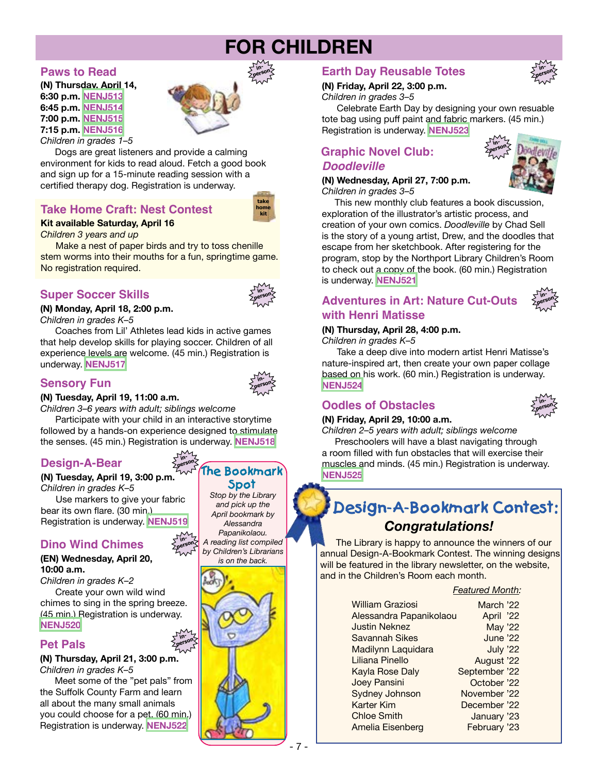# **FOR CHILDREN**

**inperson**

#### **Paws to Read**

**(N) Thursday, April 14, 6:30 p.m. [NENJ513](https://www.nenpl.org/event/paws-read-person) 6:45 p.m. [NENJ514](https://www.nenpl.org/event/paws-read-person-0) 7:00 p.m. [NENJ515](https://www.nenpl.org/event/paws-read-person-1) 7:15 p.m. [NENJ516](https://www.nenpl.org/event/paws-read-person-2)** *Children in grades 1–5*



Dogs are great listeners and provide a calming environment for kids to read aloud. Fetch a good book and sign up for a 15-minute reading session with a certified therapy dog. Registration is underway.

## **Take Home Craft: Nest Contest**

#### **Kit available Saturday, April 16**

*Children 3 years and up*

 Make a nest of paper birds and try to toss chenille stem worms into their mouths for a fun, springtime game. No registration required.

## **Super Soccer Skills**



**take home kit**

# **(N) Monday, April 18, 2:00 p.m.**

*Children in grades K–5*

 Coaches from Lil' Athletes lead kids in active games that help develop skills for playing soccer. Children of all experience levels are welcome. (45 min.) Registration is underway. **[NENJ517](https://www.nenpl.org/event/super-soccer-skills-person)**

### **Sensory Fun**



**(N) Tuesday, April 19, 11:00 a.m.**

*Children 3–6 years with adult; siblings welcome*

 Participate with your child in an interactive storytime followed by a hands-on experience designed to stimulate the senses. (45 min.) Registration is underway. **[NENJ518](https://www.nenpl.org/event/sensory-fun-person)**

> **inperson**

**inperson**

**inperson**

# **Design-A-Bear**

#### **(N) Tuesday, April 19, 3:00 p.m.**

*Children in grades K–5* Use markers to give your fabric bear its own flare. (30 min.) Registration is underway. **[NENJ519](https://www.nenpl.org/event/design-bear-person)**

### **Dino Wind Chimes**

#### **(EN) Wednesday, April 20, 10:00 a.m.**

*Children in grades K–2* Create your own wild wind chimes to sing in the spring breeze. (45 min.) Registration is underway. **[NENJ520](https://www.nenpl.org/event/dino-wind-chimes)**

#### **Pet Pals**

**(N) Thursday, April 21, 3:00 p.m.** *Children in grades K–5*

 Meet some of the "pet pals" from the Suffolk County Farm and learn all about the many small animals you could choose for a pet. (60 min.) Registration is underway. **[NENJ522](https://www.nenpl.org/event/pet-pals-person)**

*Stop by the Library and pick up the April bookmark by Alessandra Papanikolaou. A reading list compiled by Children's Librarians is on the back.*

**The Bookmark Spot**



# **Earth Day Reusable Totes**

#### **(N) Friday, April 22, 3:00 p.m.**

*Children in grades 3–5*

 Celebrate Earth Day by designing your own resuable tote bag using puff paint and fabric markers. (45 min.) Registration is underway. **[NENJ523](https://www.nenpl.org/event/earth-day-reusable-totes-person)**

# **Graphic Novel Club:**  *Doodleville*

#### **(N) Wednesday, April 27, 7:00 p.m.** *Children in grades 3–5*



**inperson**

 This new monthly club features a book discussion, exploration of the illustrator's artistic process, and creation of your own comics. *Doodleville* by Chad Sell is the story of a young artist, Drew, and the doodles that escape from her sketchbook. After registering for the program, stop by the Northport Library Children's Room to check out a copy of the book. (60 min.) Registration is underway. **[NENJ521](https://www.nenpl.org/event/graphic-novel-club-doodleville-person)**

**Adventures in Art: Nature Cut-Outs with Henri Matisse**

#### **inperson**

#### **(N) Thursday, April 28, 4:00 p.m.**

*Children in grades K–5*

 Take a deep dive into modern artist Henri Matisse's nature-inspired art, then create your own paper collage based on his work. (60 min.) Registration is underway. **[NENJ524](https://www.nenpl.org/event/adventures-art-nature-cut-outs-henri-matisse-person)**

### **Oodles of Obstacles**



#### **(N) Friday, April 29, 10:00 a.m.**

*Children 2–5 years with adult; siblings welcome* Preschoolers will have a blast navigating through a room filled with fun obstacles that will exercise their muscles and minds. (45 min.) Registration is underway. **[NENJ525](https://www.nenpl.org/event/oodles-obstacles-person)**

# *Congratulations!* **Design-A-Bookmark Contest:**

 The Library is happy to announce the winners of our annual Design-A-Bookmark Contest. The winning designs will be featured in the library newsletter, on the website, and in the Children's Room each month.

#### *Featured Month:*

| <b>William Graziosi</b> | March '22     |  |
|-------------------------|---------------|--|
| Alessandra Papanikolaou | April '22     |  |
| <b>Justin Neknez</b>    | May '22       |  |
| <b>Savannah Sikes</b>   | June '22      |  |
| Madilynn Laquidara      | July '22      |  |
| Liliana Pinello         | August '22    |  |
| Kayla Rose Daly         | September '22 |  |
| <b>Joey Pansini</b>     | October '22   |  |
| Sydney Johnson          | November '22  |  |
| Karter Kim              | December '22  |  |
| <b>Chloe Smith</b>      | January '23   |  |
| Amelia Eisenberg        | February '23  |  |
|                         |               |  |